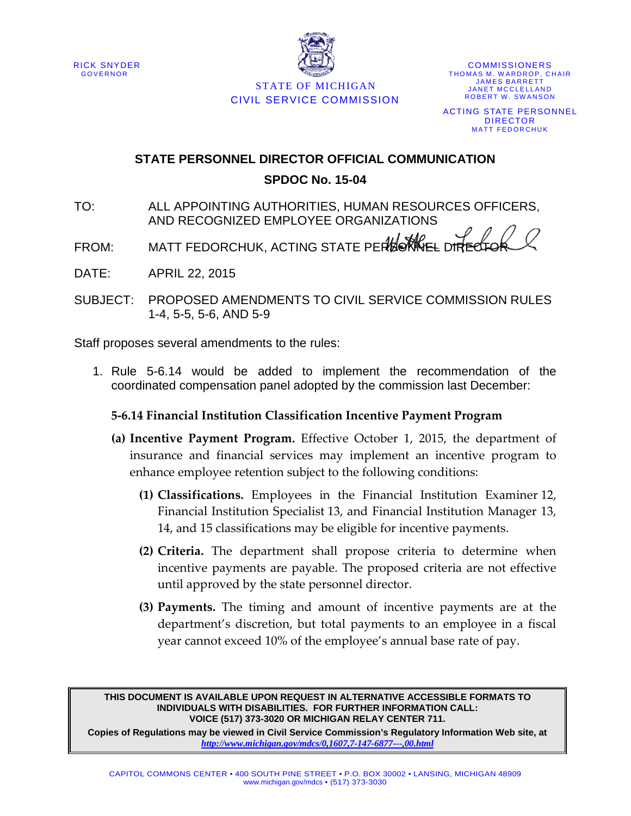



STATE OF MICHIGAN CIVIL SERVICE COMMISSION

**COMMISSIONERS** THOMAS M. WARDROP, CHAIR JAMES BARRETT JANET MCCLELLAND ROBERT W. SWANSON ACTING STATE PERSONNEL DIRECTOR MATT FEDORCHUK

# **STATE PERSONNEL DIRECTOR OFFICIAL COMMUNICATION SPDOC No. 15-04**

- TO: ALL APPOINTING AUTHORITIES, HUMAN RESOURCES OFFICERS, AND RECOGNIZED EMPLOYEE ORGANIZATIONS
- FROM: MATT FEDORCHUK, ACTING STATE PERBONNEL DIRECTO
- DATE: APRIL 22, 2015
- SUBJECT: PROPOSED AMENDMENTS TO CIVIL SERVICE COMMISSION RULES 1-4, 5-5, 5-6, AND 5-9

Staff proposes several amendments to the rules:

1. Rule 5-6.14 would be added to implement the recommendation of the coordinated compensation panel adopted by the commission last December:

## **5-6.14 Financial Institution Classification Incentive Payment Program**

- **(a) Incentive Payment Program.** Effective October 1, 2015, the department of insurance and financial services may implement an incentive program to enhance employee retention subject to the following conditions:
	- **(1) Classifications.** Employees in the Financial Institution Examiner 12, Financial Institution Specialist 13, and Financial Institution Manager 13, 14, and 15 classifications may be eligible for incentive payments.
	- **(2) Criteria.** The department shall propose criteria to determine when incentive payments are payable. The proposed criteria are not effective until approved by the state personnel director.
	- **(3) Payments.** The timing and amount of incentive payments are at the department's discretion, but total payments to an employee in a fiscal year cannot exceed 10% of the employee's annual base rate of pay.

**THIS DOCUMENT IS AVAILABLE UPON REQUEST IN ALTERNATIVE ACCESSIBLE FORMATS TO INDIVIDUALS WITH DISABILITIES. FOR FURTHER INFORMATION CALL: VOICE (517) 373-3020 OR MICHIGAN RELAY CENTER 711.**

**Copies of Regulations may be viewed in Civil Service Commission's Regulatory Information Web site, at**  *<http://www.michigan.gov/mdcs/0,1607,7-147-6877---,00.html>*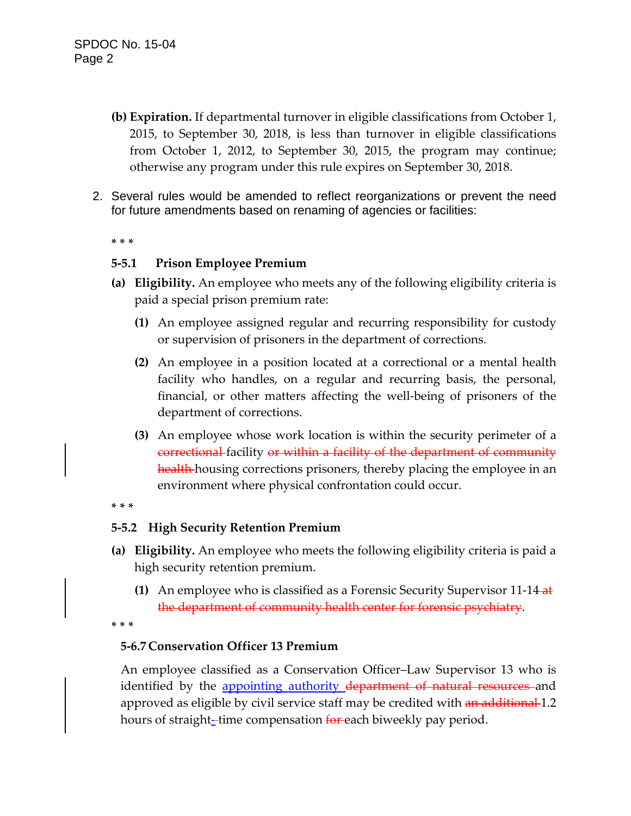- **(b) Expiration.** If departmental turnover in eligible classifications from October 1, 2015, to September 30, 2018, is less than turnover in eligible classifications from October 1, 2012, to September 30, 2015, the program may continue; otherwise any program under this rule expires on September 30, 2018.
- 2. Several rules would be amended to reflect reorganizations or prevent the need for future amendments based on renaming of agencies or facilities:

**\* \* \***

### **5-5.1 Prison Employee Premium**

- **(a) Eligibility.** An employee who meets any of the following eligibility criteria is paid a special prison premium rate:
	- **(1)** An employee assigned regular and recurring responsibility for custody or supervision of prisoners in the department of corrections.
	- **(2)** An employee in a position located at a correctional or a mental health facility who handles, on a regular and recurring basis, the personal, financial, or other matters affecting the well-being of prisoners of the department of corrections.
	- **(3)** An employee whose work location is within the security perimeter of a correctional facility or within a facility of the department of community health housing corrections prisoners, thereby placing the employee in an environment where physical confrontation could occur.

#### **\* \* \***

#### **5-5.2 High Security Retention Premium**

- **(a) Eligibility.** An employee who meets the following eligibility criteria is paid a high security retention premium.
	- **(1)** An employee who is classified as a Forensic Security Supervisor 11-14 at the department of community health center for forensic psychiatry.

**\* \* \***

## **5-6.7 Conservation Officer 13 Premium**

An employee classified as a Conservation Officer–Law Supervisor 13 who is identified by the appointing authority department of natural resources and approved as eligible by civil service staff may be credited with an additional 1.2 hours of straight--time compensation for each biweekly pay period.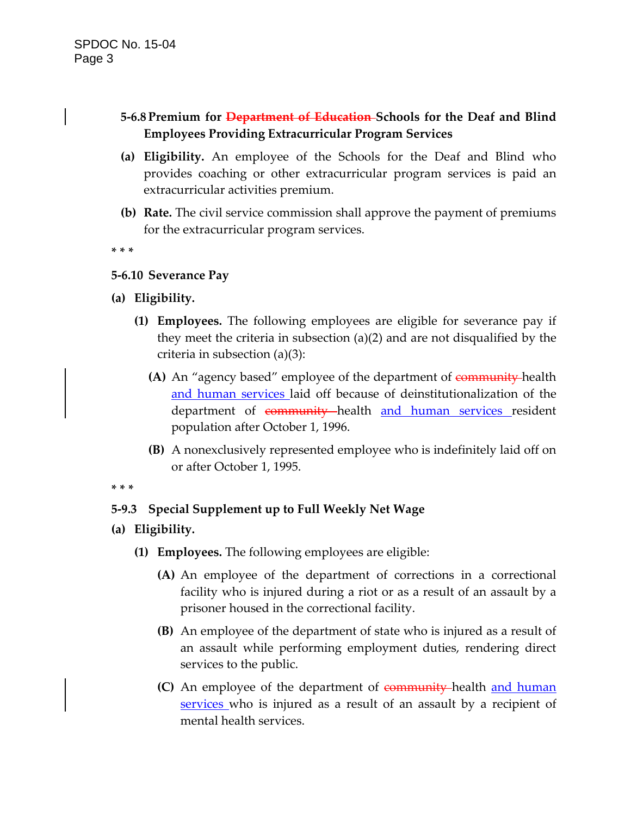# **5-6.8 Premium for Department of Education Schools for the Deaf and Blind Employees Providing Extracurricular Program Services**

- **(a) Eligibility.** An employee of the Schools for the Deaf and Blind who provides coaching or other extracurricular program services is paid an extracurricular activities premium.
- **(b) Rate.** The civil service commission shall approve the payment of premiums for the extracurricular program services.

**\* \* \***

## **5-6.10 Severance Pay**

- **(a) Eligibility.**
	- **(1) Employees.** The following employees are eligible for severance pay if they meet the criteria in subsection (a)(2) and are not disqualified by the criteria in subsection (a)(3):
		- **(A)** An "agency based" employee of the department of community-health and human services laid off because of deinstitutionalization of the department of community health and human services resident population after October 1, 1996.
		- **(B)** A nonexclusively represented employee who is indefinitely laid off on or after October 1, 1995.

**\* \* \***

# **5-9.3 Special Supplement up to Full Weekly Net Wage**

- **(a) Eligibility.**
	- **(1) Employees.** The following employees are eligible:
		- **(A)** An employee of the department of corrections in a correctional facility who is injured during a riot or as a result of an assault by a prisoner housed in the correctional facility.
		- **(B)** An employee of the department of state who is injured as a result of an assault while performing employment duties, rendering direct services to the public.
		- **(C)** An employee of the department of community health and human services who is injured as a result of an assault by a recipient of mental health services.